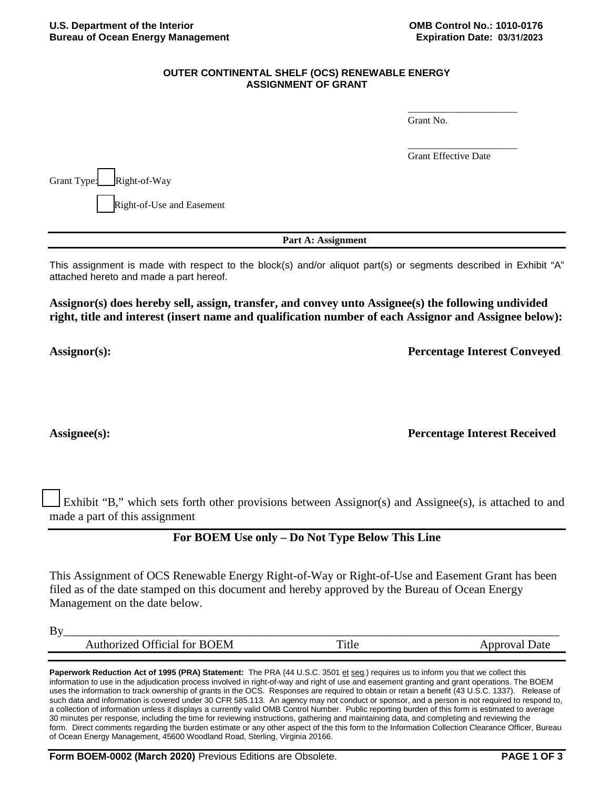### **OUTER CONTINENTAL SHELF (OCS) RENEWABLE ENERGY ASSIGNMENT OF GRANT**

Grant No.

Grant Effective Date

\_\_\_\_\_\_\_\_\_\_\_\_\_\_\_\_\_\_\_\_\_\_

\_\_\_\_\_\_\_\_\_\_\_\_\_\_\_\_\_\_\_\_\_\_

Grant Type: Right-of-Way Right-of-Use and Easement

**Part A: Assignment**

This assignment is made with respect to the block(s) and/or aliquot part(s) or segments described in Exhibit "A" attached hereto and made a part hereof.

**Assignor(s) does hereby sell, assign, transfer, and convey unto Assignee(s) the following undivided right, title and interest (insert name and qualification number of each Assignor and Assignee below):**

**Assignor(s): Percentage Interest Conveyed**

**Assignee(s): Percentage Interest Received**

Exhibit "B," which sets forth other provisions between Assignor(s) and Assignee(s), is attached to and made a part of this assignment

## **For BOEM Use only – Do Not Type Below This Line**

This Assignment of OCS Renewable Energy Right-of-Way or Right-of-Use and Easement Grant has been filed as of the date stamped on this document and hereby approved by the Bureau of Ocean Energy Management on the date below.

| By                                     |   |
|----------------------------------------|---|
| )EM<br>R<br>. T∩r<br>ואי<br>. <b>.</b> | . |

Paperwork Reduction Act of 1995 (PRA) Statement: The PRA (44 U.S.C. 3501 et seq.) requires us to inform you that we collect this information to use in the adjudication process involved in right-of-way and right of use and easement granting and grant operations. The BOEM uses the information to track ownership of grants in the OCS. Responses are required to obtain or retain a benefit (43 U.S.C. 1337). Release of such data and information is covered under 30 CFR 585.113. An agency may not conduct or sponsor, and a person is not required to respond to, a collection of information unless it displays a currently valid OMB Control Number. Public reporting burden of this form is estimated to average 30 minutes per response, including the time for reviewing instructions, gathering and maintaining data, and completing and reviewing the form. Direct comments regarding the burden estimate or any other aspect of the this form to the Information Collection Clearance Officer, Bureau of Ocean Energy Management, 45600 Woodland Road, Sterling, Virginia 20166.

**Form BOEM-0002 (March 2020)** Previous Editions are Obsolete. **PAGE 1 OF 3**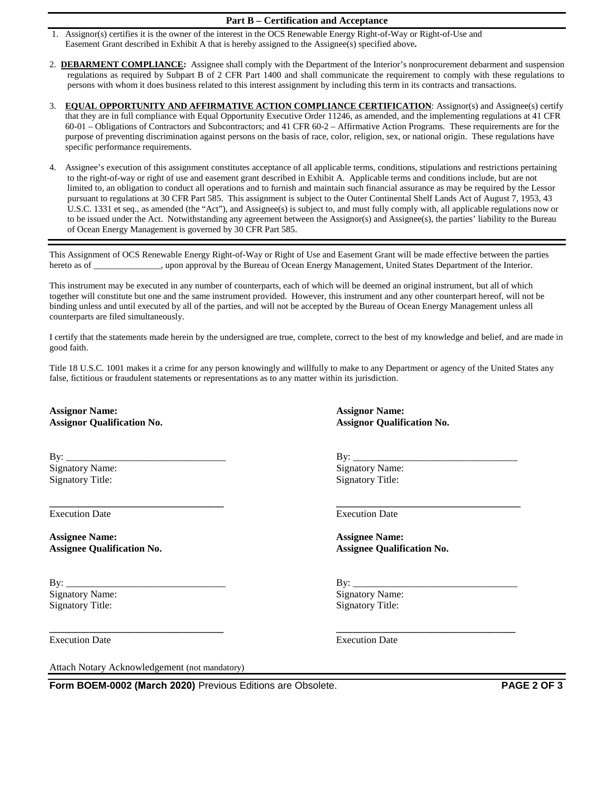#### **Part B – Certification and Acceptance**

- 1. Assignor(s) certifies it is the owner of the interest in the OCS Renewable Energy Right-of-Way or Right-of-Use and Easement Grant described in Exhibit A that is hereby assigned to the Assignee(s) specified above**.**
- 2. **DEBARMENT COMPLIANCE:** Assignee shall comply with the Department of the Interior's nonprocurement debarment and suspension regulations as required by Subpart B of 2 CFR Part 1400 and shall communicate the requirement to comply with these regulations to persons with whom it does business related to this interest assignment by including this term in its contracts and transactions.
- 3. **EQUAL OPPORTUNITY AND AFFIRMATIVE ACTION COMPLIANCE CERTIFICATION**: Assignor(s) and Assignee(s) certify that they are in full compliance with Equal Opportunity Executive Order 11246, as amended, and the implementing regulations at 41 CFR 60-01 – Obligations of Contractors and Subcontractors; and 41 CFR 60-2 – Affirmative Action Programs. These requirements are for the purpose of preventing discrimination against persons on the basis of race, color, religion, sex, or national origin. These regulations have specific performance requirements.
- 4. Assignee's execution of this assignment constitutes acceptance of all applicable terms, conditions, stipulations and restrictions pertaining to the right-of-way or right of use and easement grant described in Exhibit A. Applicable terms and conditions include, but are not limited to, an obligation to conduct all operations and to furnish and maintain such financial assurance as may be required by the Lessor pursuant to regulations at 30 CFR Part 585. This assignment is subject to the Outer Continental Shelf Lands Act of August 7, 1953, 43 U.S.C. 1331 et seq., as amended (the "Act"), and Assignee(s) is subject to, and must fully comply with, all applicable regulations now or to be issued under the Act. Notwithstanding any agreement between the Assignor(s) and Assignee(s), the parties' liability to the Bureau of Ocean Energy Management is governed by 30 CFR Part 585.

This Assignment of OCS Renewable Energy Right-of-Way or Right of Use and Easement Grant will be made effective between the parties hereto as of comparison we approval by the Bureau of Ocean Energy Management, United States Department of the Interior.

This instrument may be executed in any number of counterparts, each of which will be deemed an original instrument, but all of which together will constitute but one and the same instrument provided. However, this instrument and any other counterpart hereof, will not be binding unless and until executed by all of the parties, and will not be accepted by the Bureau of Ocean Energy Management unless all counterparts are filed simultaneously.

I certify that the statements made herein by the undersigned are true, complete, correct to the best of my knowledge and belief, and are made in good faith.

Title 18 U.S.C. 1001 makes it a crime for any person knowingly and willfully to make to any Department or agency of the United States any false, fictitious or fraudulent statements or representations as to any matter within its jurisdiction.

**\_\_\_\_\_\_\_\_\_\_\_\_\_\_\_\_\_\_\_\_\_\_\_\_\_\_\_\_\_\_\_\_\_\_\_ \_\_\_\_\_\_\_\_\_\_\_\_\_\_\_\_\_\_\_\_\_\_\_\_\_\_\_\_\_\_\_\_\_\_\_\_**

**Assignor Name: Assignor Name: Assignor Qualification No. Assignor Qualification No.**

By: \_\_\_\_\_\_\_\_\_\_\_\_\_\_\_\_\_\_\_\_\_\_\_\_\_\_\_\_\_\_\_\_ By: \_\_\_\_\_\_\_\_\_\_\_\_\_\_\_\_\_\_\_\_\_\_\_\_\_\_\_\_\_\_\_\_\_ Signatory Name: Signatory Name: Signatory Name: Signatory Title: Signatory Title: Signatory Title:

Execution Date Execution Date

**Assignee Name: Assignee Name: Assignee Qualification No. Assignee Qualification No.**

By: \_\_\_\_\_\_\_\_\_\_\_\_\_\_\_\_\_\_\_\_\_\_\_\_\_\_\_\_\_\_\_\_ By: \_\_\_\_\_\_\_\_\_\_\_\_\_\_\_\_\_\_\_\_\_\_\_\_\_\_\_\_\_\_\_\_\_ Signatory Name: Signatory Name: Signatory Name: Signatory Title: Signatory Title: Signatory Title:

**\_\_\_\_\_\_\_\_\_\_\_\_\_\_\_\_\_\_\_\_\_\_\_\_\_\_\_\_\_\_\_\_\_\_\_ \_\_\_\_\_\_\_\_\_\_\_\_\_\_\_\_\_\_\_\_\_\_\_\_\_\_\_\_\_\_\_\_\_\_\_\_\_**

Execution Date Execution Date

Attach Notary Acknowledgement (not mandatory)

**Form BOEM-0002 (March 2020)** Previous Editions are Obsolete. **PAGE 2 OF 3**